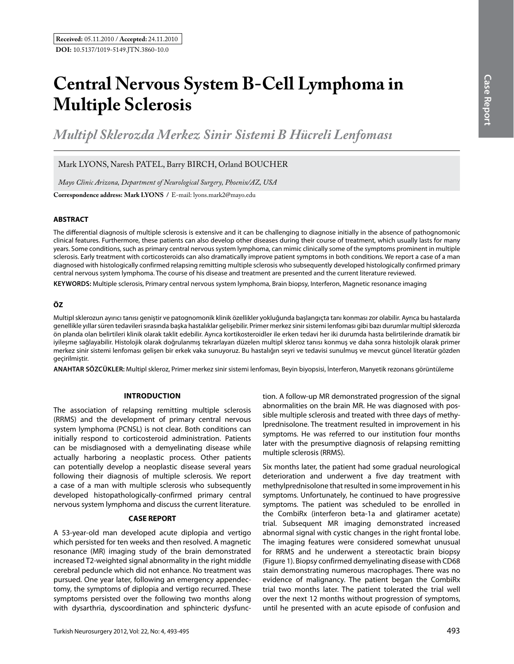# **Central Nervous System B-Cell Lymphoma in Multiple Sclerosis**

*Multipl Sklerozda Merkez Sinir Sistemi B Hücreli Lenfoması* 

# Mark LYONS, Naresh PATEL, Barry BIRCH, Orland BOUCHER

**Correspondence address: Mark Lyons /** E-mail: lyons.mark2@mayo.edu *Mayo Clinic Arizona, Department of Neurological Surgery, Phoenix/AZ, USA*

## **ABSTRACT**

The differential diagnosis of multiple sclerosis is extensive and it can be challenging to diagnose initially in the absence of pathognomonic clinical features. Furthermore, these patients can also develop other diseases during their course of treatment, which usually lasts for many years. Some conditions, such as primary central nervous system lymphoma, can mimic clinically some of the symptoms prominent in multiple sclerosis. Early treatment with corticosteroids can also dramatically improve patient symptoms in both conditions. We report a case of a man diagnosed with histologically confirmed relapsing remitting multiple sclerosis who subsequently developed histologically confirmed primary central nervous system lymphoma. The course of his disease and treatment are presented and the current literature reviewed.

**Keywords:** Multiple sclerosis, Primary central nervous system lymphoma, Brain biopsy, Interferon, Magnetic resonance imaging

# **ÖZ**

Multipl sklerozun ayırıcı tanısı geniştir ve patognomonik klinik özellikler yokluğunda başlangıçta tanı konması zor olabilir. Ayrıca bu hastalarda genellikle yıllar süren tedavileri sırasında başka hastalıklar gelişebilir. Primer merkez sinir sistemi lenfoması gibi bazı durumlar multipl sklerozda ön planda olan belirtileri klinik olarak taklit edebilir. Ayrıca kortikosteroidler ile erken tedavi her iki durumda hasta belirtilerinde dramatik bir iyileşme sağlayabilir. Histolojik olarak doğrulanmış tekrarlayan düzelen multipl skleroz tanısı konmuş ve daha sonra histolojik olarak primer merkez sinir sistemi lenfoması gelişen bir erkek vaka sunuyoruz. Bu hastalığın seyri ve tedavisi sunulmuş ve mevcut güncel literatür gözden geçirilmiştir.

**ANAHTAR SÖZCÜKLER:** Multipl skleroz, Primer merkez sinir sistemi lenfoması, Beyin biyopsisi, İnterferon, Manyetik rezonans görüntüleme

# **Introductıon**

The association of relapsing remitting multiple sclerosis (RRMS) and the development of primary central nervous system lymphoma (PCNSL) is not clear. Both conditions can initially respond to corticosteroid administration. Patients can be misdiagnosed with a demyelinating disease while actually harboring a neoplastic process. Other patients can potentially develop a neoplastic disease several years following their diagnosis of multiple sclerosis. We report a case of a man with multiple sclerosis who subsequently developed histopathologically-confirmed primary central nervous system lymphoma and discuss the current literature.

#### **CASE REPORT**

A 53-year-old man developed acute diplopia and vertigo which persisted for ten weeks and then resolved. A magnetic resonance (MR) imaging study of the brain demonstrated increased T2-weighted signal abnormality in the right middle cerebral peduncle which did not enhance. No treatment was pursued. One year later, following an emergency appendectomy, the symptoms of diplopia and vertigo recurred. These symptoms persisted over the following two months along with dysarthria, dyscoordination and sphincteric dysfunc-

tion. A follow-up MR demonstrated progression of the signal abnormalities on the brain MR. He was diagnosed with possible multiple sclerosis and treated with three days of methylprednisolone. The treatment resulted in improvement in his symptoms. He was referred to our institution four months later with the presumptive diagnosis of relapsing remitting multiple sclerosis (RRMS).

Six months later, the patient had some gradual neurological deterioration and underwent a five day treatment with methylprednisolone that resulted in some improvement in his symptoms. Unfortunately, he continued to have progressive symptoms. The patient was scheduled to be enrolled in the CombiRx (interferon beta-1a and glatiramer acetate) trial. Subsequent MR imaging demonstrated increased abnormal signal with cystic changes in the right frontal lobe. The imaging features were considered somewhat unusual for RRMS and he underwent a stereotactic brain biopsy (Figure 1). Biopsy confirmed demyelinating disease with CD68 stain demonstrating numerous macrophages. There was no evidence of malignancy. The patient began the CombiRx trial two months later. The patient tolerated the trial well over the next 12 months without progression of symptoms, until he presented with an acute episode of confusion and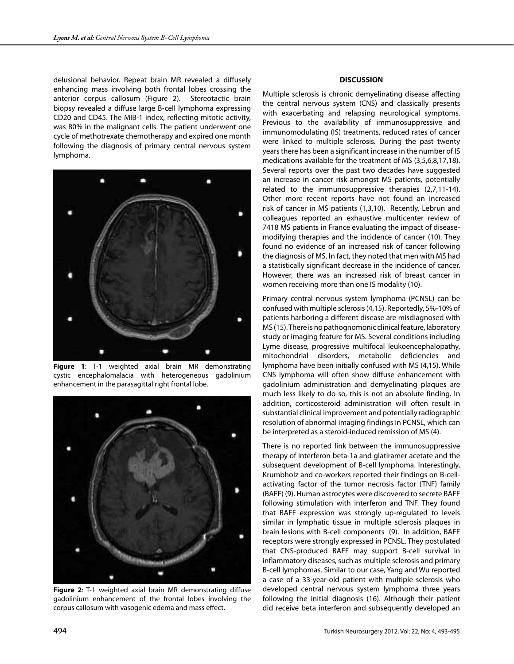delusional behavior. Repeat brain MR revealed a diffusely enhancing mass involving both frontal lobes crossing the anterior corpus callosum (Figure 2). Stereotactic brain biopsy revealed a diffuse large B-cell lymphoma expressing CD20 and CD45. The MIB-1 index, reflecting mitotic activity, was 80% in the malignant cells. The patient underwent one cycle of methotrexate chemotherapy and expired one month following the diagnosis of primary central nervous system lymphoma.



**Figure 1**: T-1 weighted axial brain MR demonstrating cystic encephalomalacia with heterogeneous gadolinium enhancement in the parasagittal right frontal lobe.



**Figure 2**: T-1 weighted axial brain MR demonstrating diffuse gadolinium enhancement of the frontal lobes involving the corpus callosum with vasogenic edema and mass effect.

### **DISCUSSION**

Multiple sclerosis is chronic demyelinating disease affecting the central nervous system (CNS) and classically presents with exacerbating and relapsing neurological symptoms. Previous to the availability of immunosuppressive and immunomodulating (IS) treatments, reduced rates of cancer were linked to multiple sclerosis. During the past twenty years there has been a significant increase in the number of IS medications available for the treatment of MS (3,5,6,8,17,18). Several reports over the past two decades have suggested an increase in cancer risk amongst MS patients, potentially related to the immunosuppressive therapies (2,7,11-14). Other more recent reports have not found an increased risk of cancer in MS patients (1,3,10). Recently, Lebrun and colleagues reported an exhaustive multicenter review of 7418 MS patients in France evaluating the impact of diseasemodifying therapies and the incidence of cancer (10). They found no evidence of an increased risk of cancer following the diagnosis of MS. In fact, they noted that men with MS had a statistically significant decrease in the incidence of cancer. However, there was an increased risk of breast cancer in women receiving more than one IS modality (10).

Primary central nervous system lymphoma (PCNSL) can be confused with multiple sclerosis (4,15). Reportedly, 5%-10% of patients harboring a different disease are misdiagnosed with MS (15). There is no pathognomonic clinical feature, laboratory study or imaging feature for MS. Several conditions including Lyme disease, progressive multifocal leukoencephalopathy, mitochondrial disorders, metabolic deficiencies and lymphoma have been initially confused with MS (4,15). While CNS lymphoma will often show diffuse enhancement with gadolinium administration and demyelinating plaques are much less likely to do so, this is not an absolute finding. In addition, corticosteroid administration will often result in substantial clinical improvement and potentially radiographic resolution of abnormal imaging findings in PCNSL, which can be interpreted as a steroid-induced remission of MS (4).

There is no reported link between the immunosuppressive therapy of interferon beta-1a and glatiramer acetate and the subsequent development of B-cell lymphoma. Interestingly, Krumbholz and co-workers reported their findings on B-cellactivating factor of the tumor necrosis factor (TNF) family (BAFF) (9). Human astrocytes were discovered to secrete BAFF following stimulation with interferon and TNF. They found that BAFF expression was strongly up-regulated to levels similar in lymphatic tissue in multiple sclerosis plaques in brain lesions with B-cell components (9). In addition, BAFF receptors were strongly expressed in PCNSL. They postulated that CNS-produced BAFF may support B-cell survival in inflammatory diseases, such as multiple sclerosis and primary B-cell lymphomas. Similar to our case, Yang and Wu reported a case of a 33-year-old patient with multiple sclerosis who developed central nervous system lymphoma three years following the initial diagnosis (16). Although their patient did receive beta interferon and subsequently developed an